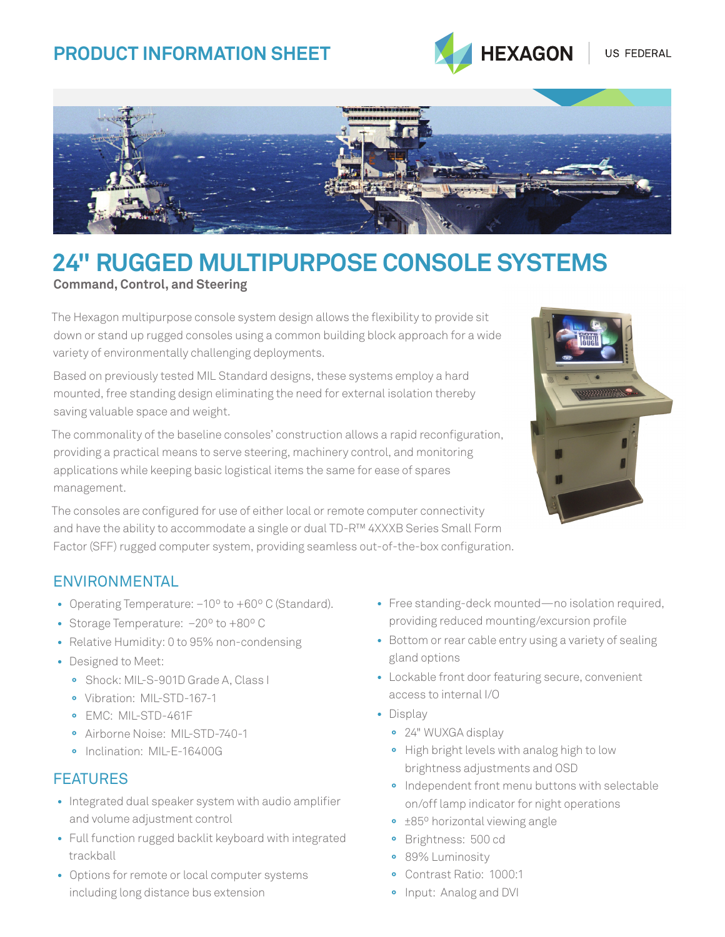## **PRODUCT INFORMATION SHEET**





# **24" RUGGED MULTIPURPOSE CONSOLE SYSTEMS**

#### **Command, Control, and Steering**

The Hexagon multipurpose console system design allows the flexibility to provide sit down or stand up rugged consoles using a common building block approach for a wide variety of environmentally challenging deployments.

Based on previously tested MIL Standard designs, these systems employ a hard mounted, free standing design eliminating the need for external isolation thereby saving valuable space and weight.

The commonality of the baseline consoles' construction allows a rapid reconfiguration, providing a practical means to serve steering, machinery control, and monitoring applications while keeping basic logistical items the same for ease of spares management.

The consoles are configured for use of either local or remote computer connectivity and have the ability to accommodate a single or dual TD-R™ 4XXXB Series Small Form Factor (SFF) rugged computer system, providing seamless out-of-the-box configuration.



#### ENVIRONMENTAL

- Operating Temperature: –10º to +60º C (Standard).
- Storage Temperature: –20º to +80º C
- Relative Humidity: 0 to 95% non-condensing
- Designed to Meet:
	- **°** Shock: MIL-S-901D Grade A, Class I
	- **°** Vibration: MIL-STD-167-1
	- **°** EMC: MIL-STD-461F
	- **°** Airborne Noise: MIL-STD-740-1
	- **°** Inclination: MIL-E-16400G

#### FEATURES

- Integrated dual speaker system with audio amplifier and volume adjustment control
- Full function rugged backlit keyboard with integrated trackball
- Options for remote or local computer systems including long distance bus extension
- Free standing-deck mounted—no isolation required, providing reduced mounting/excursion profile
- Bottom or rear cable entry using a variety of sealing gland options
- Lockable front door featuring secure, convenient access to internal I/O
- Display
	- **°** 24" WUXGA display
	- **°** High bright levels with analog high to low brightness adjustments and OSD
	- **°** Independent front menu buttons with selectable on/off lamp indicator for night operations
	- **°** ±85º horizontal viewing angle
	- **°** Brightness: 500 cd
	- **°** 89% Luminosity
	- **°** Contrast Ratio: 1000:1
	- **°** Input: Analog and DVI